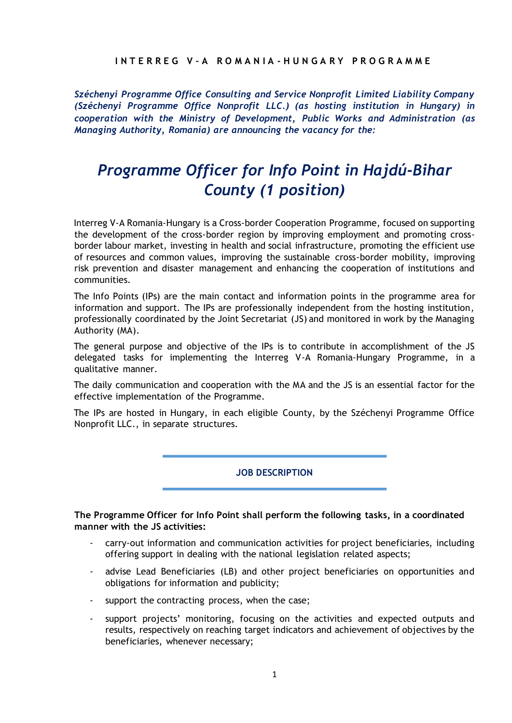## **I N T E R R E G V – A R O M A N I A - H U N G A R Y P R O G R A M M E**

*Széchenyi Programme Office Consulting and Service Nonprofit Limited Liability Company (Széchenyi Programme Office Nonprofit LLC.) (as hosting institution in Hungary) in cooperation with the Ministry of Development, Public Works and Administration (as Managing Authority, Romania) are announcing the vacancy for the:* 

# *Programme Officer for Info Point in Hajdú-Bihar County (1 position)*

Interreg V-A Romania-Hungary is a Cross-border Cooperation Programme, focused on supporting the development of the cross-border region by improving employment and promoting crossborder labour market, investing in health and social infrastructure, promoting the efficient use of resources and common values, improving the sustainable cross-border mobility, improving risk prevention and disaster management and enhancing the cooperation of institutions and communities.

The Info Points (IPs) are the main contact and information points in the programme area for information and support. The IPs are professionally independent from the hosting institution, professionally coordinated by the Joint Secretariat (JS) and monitored in work by the Managing Authority (MA).

The general purpose and objective of the IPs is to contribute in accomplishment of the JS delegated tasks for implementing the Interreg V-A Romania-Hungary Programme, in a qualitative manner.

The daily communication and cooperation with the MA and the JS is an essential factor for the effective implementation of the Programme.

The IPs are hosted in Hungary, in each eligible County, by the Széchenyi Programme Office Nonprofit LLC., in separate structures.

**JOB DESCRIPTION**

## **The Programme Officer for Info Point shall perform the following tasks, in a coordinated manner with the JS activities:**

- carry-out information and communication activities for project beneficiaries, including offering support in dealing with the national legislation related aspects;
- advise Lead Beneficiaries (LB) and other project beneficiaries on opportunities and obligations for information and publicity;
- support the contracting process, when the case;
- support projects' monitoring, focusing on the activities and expected outputs and results, respectively on reaching target indicators and achievement of objectives by the beneficiaries, whenever necessary;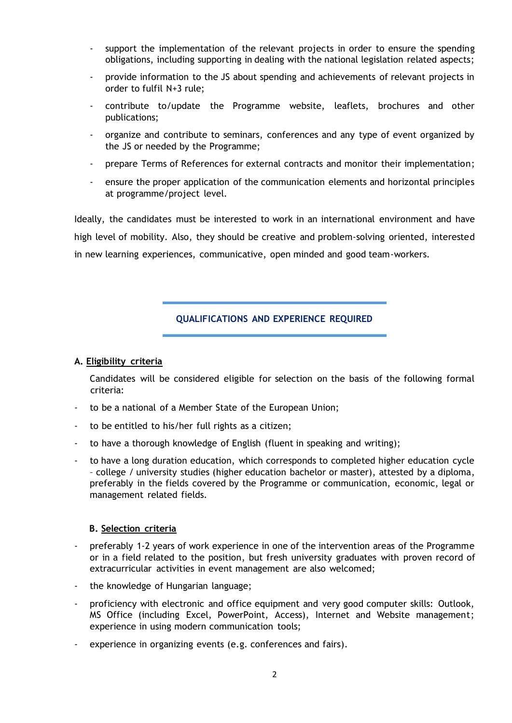- support the implementation of the relevant projects in order to ensure the spending obligations, including supporting in dealing with the national legislation related aspects;
- provide information to the JS about spending and achievements of relevant projects in order to fulfil N+3 rule;
- contribute to/update the Programme website, leaflets, brochures and other publications;
- organize and contribute to seminars, conferences and any type of event organized by the JS or needed by the Programme;
- prepare Terms of References for external contracts and monitor their implementation;
- ensure the proper application of the communication elements and horizontal principles at programme/project level.

Ideally, the candidates must be interested to work in an international environment and have high level of mobility. Also, they should be creative and problem-solving oriented, interested in new learning experiences, communicative, open minded and good team-workers.

## **QUALIFICATIONS AND EXPERIENCE REQUIRED**

#### **A. Eligibility criteria**

Candidates will be considered eligible for selection on the basis of the following formal criteria:

- to be a national of a Member State of the European Union;
- to be entitled to his/her full rights as a citizen;
- to have a thorough knowledge of English (fluent in speaking and writing);
- to have a long duration education, which corresponds to completed higher education cycle – college / university studies (higher education bachelor or master), attested by a diploma, preferably in the fields covered by the Programme or communication, economic, legal or management related fields.

## **B. Selection criteria**

- preferably 1-2 years of work experience in one of the intervention areas of the Programme or in a field related to the position, but fresh university graduates with proven record of extracurricular activities in event management are also welcomed;
- the knowledge of Hungarian language;
- proficiency with electronic and office equipment and very good computer skills: Outlook, MS Office (including Excel, PowerPoint, Access), Internet and Website management; experience in using modern communication tools;
- experience in organizing events (e.g. conferences and fairs).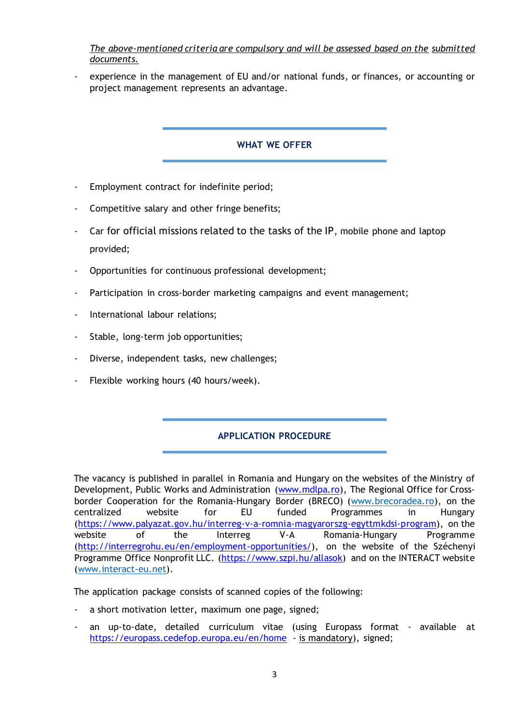*The above-mentioned criteria are compulsory and will be assessed based on the submitted documents.* 

experience in the management of EU and/or national funds, or finances, or accounting or project management represents an advantage.

## **WHAT WE OFFER**

- Employment contract for indefinite period;
- Competitive salary and other fringe benefits;
- Car for official missions related to the tasks of the IP, mobile phone and laptop provided;
- Opportunities for continuous professional development;
- Participation in cross-border marketing campaigns and event management;
- International labour relations;
- Stable, long-term job opportunities;
- Diverse, independent tasks, new challenges;
- Flexible working hours (40 hours/week).

# **APPLICATION PROCEDURE**

The vacancy is published in parallel in Romania and Hungary on the websites of the Ministry of Development, Public Works and Administration [\(www.mdlpa.ro](http://www.mdlpa.ro/)[\),](http://www.mdrap.ro/) The Regional Office for Cross-border Cooperation for the Romania-Hungary Border (BRECO) [\(www.brecoradea.ro\),](http://www.brecoradea.ro/) on the centralized website for EU funded Programmes in Hungary [\(https://www.palyazat.gov.hu/interreg-v-a-romnia-magyarorszg-egyttmkdsi-program\),](https://www.palyazat.gov.hu/interreg-v-a-romnia-magyarorszg-egyttmkdsi-program) on the website of the Interreg V-A Romania-Hungary Programme [\(http://interregrohu.eu/en/employment-opportunities/\),](http://interregrohu.eu/en/employment-opportunities/) on the website of the Széchenyi Programme Office Nonprofit LLC. [\(](http://www.szpi.hu/index.php)[https://www.szpi.hu/allasok\)](https://www.szpi.hu/allasok) and on the INTERACT website [\(www.interact-eu.net\).](http://www.interact-eu.net/)

The application package consists of scanned copies of the following:

- a short motivation letter, maximum one page, signed;
- an up-to-date, detailed curriculum vitae (using Europass format available at <https://europass.cedefop.europa.eu/en/home> [-](https://europass.cedefop.europa.eu/en/home) is mandatory), signed;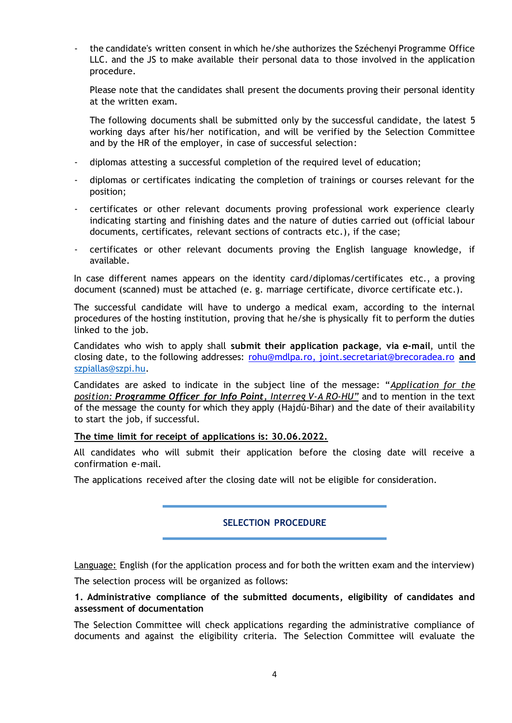- the candidate's written consent in which he/she authorizes the Széchenyi Programme Office LLC. and the JS to make available their personal data to those involved in the application procedure.

Please note that the candidates shall present the documents proving their personal identity at the written exam.

The following documents shall be submitted only by the successful candidate, the latest 5 working days after his/her notification, and will be verified by the Selection Committee and by the HR of the employer, in case of successful selection:

- diplomas attesting a successful completion of the required level of education;
- diplomas or certificates indicating the completion of trainings or courses relevant for the position;
- certificates or other relevant documents proving professional work experience clearly indicating starting and finishing dates and the nature of duties carried out (official labour documents, certificates, relevant sections of contracts etc.), if the case;
- certificates or other relevant documents proving the English language knowledge, if available.

In case different names appears on the identity card/diplomas/certificates etc., a proving document (scanned) must be attached (e. g. marriage certificate, divorce certificate etc.).

The successful candidate will have to undergo a medical exam, according to the internal procedures of the hosting institution, proving that he/she is physically fit to perform the duties linked to the job.

Candidates who wish to apply shall **submit their application package**, **via e-mail**, until the closing date, to the following addresses: [rohu@mdlpa.ro,](mailto:rohu@mdlpa.ro) [joint.secretariat@brecoradea.ro](mailto:joint.secretariat@brecoradea.ro) **and**  szpiallas@szpi.hu.

Candidates are asked to indicate in the subject line of the message: "*Application for the position: Programme Officer for Info Point, Interreg V-A RO-HU"* and to mention in the text of the message the county for which they apply (Hajdú-Bihar) and the date of their availability to start the job, if successful.

## **The time limit for receipt of applications is: 30.06.2022.**

All candidates who will submit their application before the closing date will receive a confirmation e-mail.

The applications received after the closing date will not be eligible for consideration.

## **SELECTION PROCEDURE**

Language: English (for the application process and for both the written exam and the interview)

The selection process will be organized as follows:

## **1. Administrative compliance of the submitted documents, eligibility of candidates and assessment of documentation**

The Selection Committee will check applications regarding the administrative compliance of documents and against the eligibility criteria. The Selection Committee will evaluate the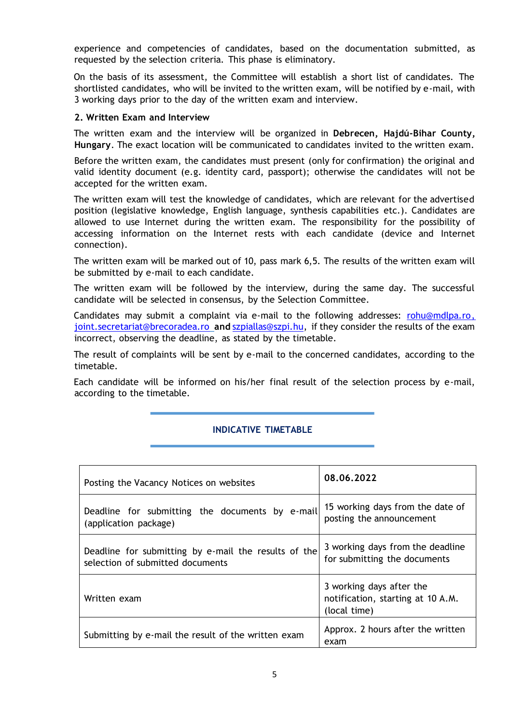experience and competencies of candidates, based on the documentation submitted, as requested by the selection criteria. This phase is eliminatory.

On the basis of its assessment, the Committee will establish a short list of candidates. The shortlisted candidates, who will be invited to the written exam, will be notified by e-mail, with 3 working days prior to the day of the written exam and interview.

#### **2. Written Exam and Interview**

The written exam and the interview will be organized in **Debrecen, Hajdú-Bihar County, Hungary**. The exact location will be communicated to candidates invited to the written exam.

Before the written exam, the candidates must present (only for confirmation) the original and valid identity document (e.g. identity card, passport); otherwise the candidates will not be accepted for the written exam.

The written exam will test the knowledge of candidates, which are relevant for the advertised position (legislative knowledge, English language, synthesis capabilities etc.). Candidates are allowed to use Internet during the written exam. The responsibility for the possibility of accessing information on the Internet rests with each candidate (device and Internet connection).

The written exam will be marked out of 10, pass mark 6,5. The results of the written exam will be submitted by e-mail to each candidate.

The written exam will be followed by the interview, during the same day. The successful candidate will be selected in consensus, by the Selection Committee.

Candidates may submit a complaint via e-mail to the following addresses: [rohu@mdlpa.ro,](mailto:rohu@mdlpa.ro) [joint.secretariat@brecoradea.ro](mailto:joint.secretariat@brecoradea.ro) **and** [szpiallas@szpi.hu,](mailto:szpiallas@szpi.hu) if they consider the results of the exam incorrect, observing the deadline, as stated by the timetable.

The result of complaints will be sent by e-mail to the concerned candidates, according to the timetable.

Each candidate will be informed on his/her final result of the selection process by e-mail, according to the timetable.

## **INDICATIVE TIMETABLE**

| Posting the Vacancy Notices on websites                                                  | 08.06.2022                                                                    |
|------------------------------------------------------------------------------------------|-------------------------------------------------------------------------------|
| Deadline for submitting the documents by e-mail<br>(application package)                 | 15 working days from the date of<br>posting the announcement                  |
| Deadline for submitting by e-mail the results of the<br>selection of submitted documents | 3 working days from the deadline<br>for submitting the documents              |
| Written exam                                                                             | 3 working days after the<br>notification, starting at 10 A.M.<br>(local time) |
| Submitting by e-mail the result of the written exam                                      | Approx. 2 hours after the written<br>exam                                     |